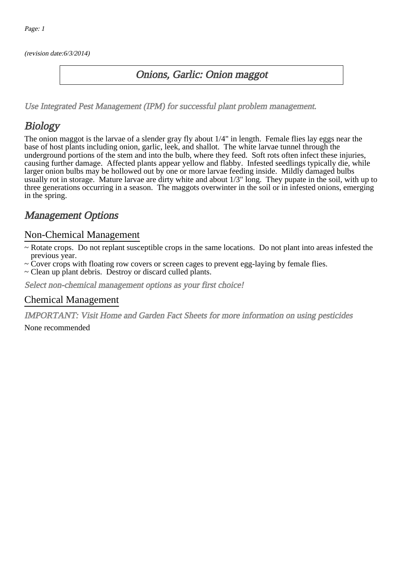(revision date:6/3/2014)

### Onions, Garlic: Onion maggot

[Use Integrated Pest Management \(IPM\) for successful plant problem management.](http://pep.wsu.edu/Home_Garden/H_G_Pesticide_info/urban_Integrated_Pest_Managmen/)

## Biology

The onion maggot is the larvae of a slender gray fly about 1/4" in length. Female flies lay eggs near the base of host plants including onion, garlic, leek, and shallot. The white larvae tunnel through the underground portions of the stem and into the bulb, where they feed. Soft rots often infect these injuries, causing further damage. Affected plants appear yellow and flabby. Infested seedlings typically die, while larger onion bulbs may be hollowed out by one or more larvae feeding inside. Mildly damaged bulbs usually rot in storage. Mature larvae are dirty white and about 1/3" long. They pupate in the soil, with up to three generations occurring in a season. The maggots overwinter in the soil or in infested onions, emerging in the spring.

## Management Options

#### Non-Chemical Management

- ~ Rotate crops. Do not replant susceptible crops in the same locations. Do not plant into areas infested the previous year.
- ~ Cover crops with floating row covers or screen cages to prevent egg-laying by female flies.
- ~ Clean up plant debris. Destroy or discard culled plants.

Select non-chemical management options as your first choice!

#### Chemical Management

IMPORTANT: [Visit Home and Garden Fact Sheets for more information on using pesticides](http://pep.wsu.edu/Home_Garden/H_G_Pesticide_info/)

None recommended